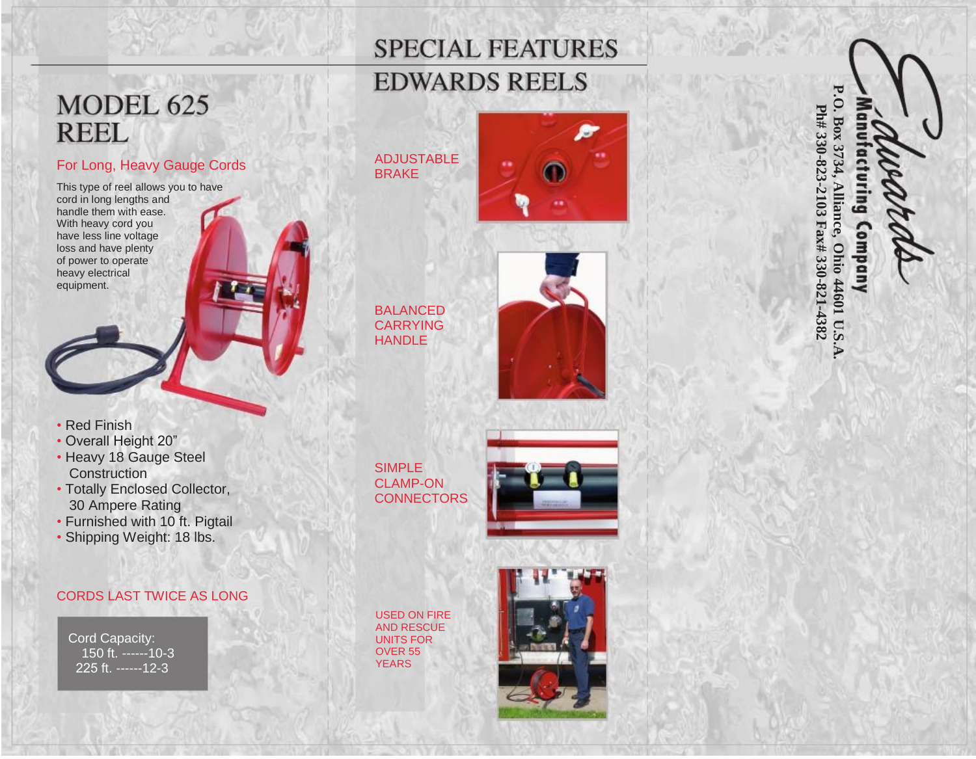## **SPECIAL FEATURES**

## **EDWARDS REELS**

## MODEL 625 **REEL**

#### For Long, Heavy Gauge Cords

This type of reel allows you to have cord in long lengths and handle them with ease. With heavy cord you have less line voltage loss and have plenty of power to operate heavy electrical equipment.

- Red Finish
- Overall Height 20"
- Heavy 18 Gauge Steel **Construction**
- Totally Enclosed Collector, 30 Ampere Rating
- Furnished with 10 ft. Pigtail
- Shipping Weight: 18 lbs.

#### CORDS LAST TWICE AS LONG

Cord Capacity: 150 ft. ------10-3 225 ft. ------12-3



BALANCED CARRYING HANDLE

BRAKE



SIMPLE CLAMP -ON **CONNECTORS** 



USED ON FIRE AND RESCUE UNITS FOR OVER 55 YEARS



**P.O. Box 3734,** Ph# 330-823-2103 Fax# 330-821-4382 **Ph# 330-823-2103 Fax# 330-821-4382 Alliance,** Gui Company **Ohio 44601 U.S.A.**